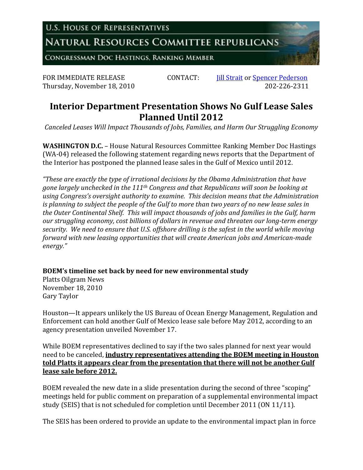**U.S. HOUSE OF REPRESENTATIVES** 

NATURAL RESOURCES COMMITTEE REPUBLICANS

CONGRESSMAN DOC HASTINGS, RANKING MEMBER

FOR IMMEDIATE RELEASE CONTACT: *Iill Strait* or <u>Spencer Pederson</u><br>Thursday. November 18, 2010 202-226-2311 Thursday, November 18, 2010

## **Interior Department Presentation Shows No Gulf Lease Sales Planned Until 2012**

*Canceled Leases Will Impact Thousands of Jobs, Families, and Harm Our Struggling Economy*

**WASHINGTON D.C.** – House Natural Resources Committee Ranking Member Doc Hastings (WA-04) released the following statement regarding news reports that the Department of the Interior has postponed the planned lease sales in the Gulf of Mexico until 2012.

*"These are exactly the type of irrational decisions by the Obama Administration that have gone largely unchecked in the 111th Congress and that Republicans will soon be looking at using Congress's oversight authority to examine. This decision means that the Administration is planning to subject the people of the Gulf to more than two years of no new lease sales in the Outer Continental Shelf. This will impact thousands of jobs and families in the Gulf, harm our struggling economy, cost billions of dollars in revenue and threaten our long-term energy security. We need to ensure that U.S. offshore drilling is the safest in the world while moving forward with new leasing opportunities that will create American jobs and American-made energy."*

**BOEM's timeline set back by need for new environmental study**

Platts Oilgram News November 18, 2010 Gary Taylor

Houston—It appears unlikely the US Bureau of Ocean Energy Management, Regulation and Enforcement can hold another Gulf of Mexico lease sale before May 2012, according to an agency presentation unveiled November 17.

While BOEM representatives declined to say if the two sales planned for next year would need to be canceled, **industry representatives attending the BOEM meeting in Houston told Platts it appears clear from the presentation that there will not be another Gulf lease sale before 2012.**

BOEM revealed the new date in a slide presentation during the second of three "scoping" meetings held for public comment on preparation of a supplemental environmental impact study (SEIS) that is not scheduled for completion until December 2011 (ON 11/11).

The SEIS has been ordered to provide an update to the environmental impact plan in force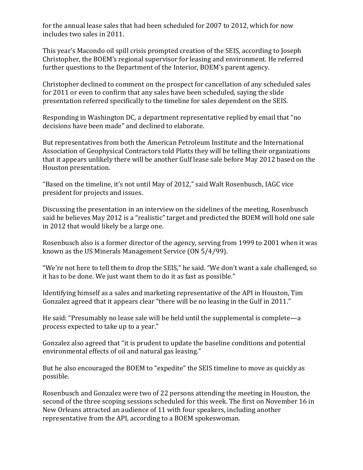for the annual lease sales that had been scheduled for 2007 to 2012, which for now includes two sales in 2011.

This year's Macondo oil spill crisis prompted creation of the SEIS, according to Joseph Christopher, the BOEM's regional supervisor for leasing and environment. He referred further questions to the Department of the Interior, BOEM's parent agency.

Christopher declined to comment on the prospect for cancellation of any scheduled sales for 2011 or even to confirm that any sales have been scheduled, saying the slide presentation referred specifically to the timeline for sales dependent on the SEIS.

Responding in Washington DC, a department representative replied by email that "no decisions have been made" and declined to elaborate.

But representatives from both the American Petroleum Institute and the International Association of Geophysical Contractors told Platts they will be telling their organizations that it appears unlikely there will be another Gulf lease sale before May 2012 based on the Houston presentation.

"Based on the timeline, it's not until May of 2012," said Walt Rosenbusch, IAGC vice president for projects and issues.

Discussing the presentation in an interview on the sidelines of the meeting, Rosenbusch said he believes May 2012 is a "realistic" target and predicted the BOEM will hold one sale in 2012 that would likely be a large one.

Rosenbusch also is a former director of the agency, serving from 1999 to 2001 when it was known as the US Minerals Management Service (ON 5/4/99).

"We're not here to tell them to drop the SEIS," he said. "We don't want a sale challenged, so it has to be done. We just want them to do it as fast as possible."

Identifying himself as a sales and marketing representative of the API in Houston, Tim Gonzalez agreed that it appears clear "there will be no leasing in the Gulf in 2011."

He said: "Presumably no lease sale will be held until the supplemental is complete—a process expected to take up to a year."

Gonzalez also agreed that "it is prudent to update the baseline conditions and potential environmental effects of oil and natural gas leasing."

But he also encouraged the BOEM to "expedite" the SEIS timeline to move as quickly as possible.

Rosenbusch and Gonzalez were two of 22 persons attending the meeting in Houston, the second of the three scoping sessions scheduled for this week. The first on November 16 in New Orleans attracted an audience of 11 with four speakers, including another representative from the API, according to a BOEM spokeswoman.